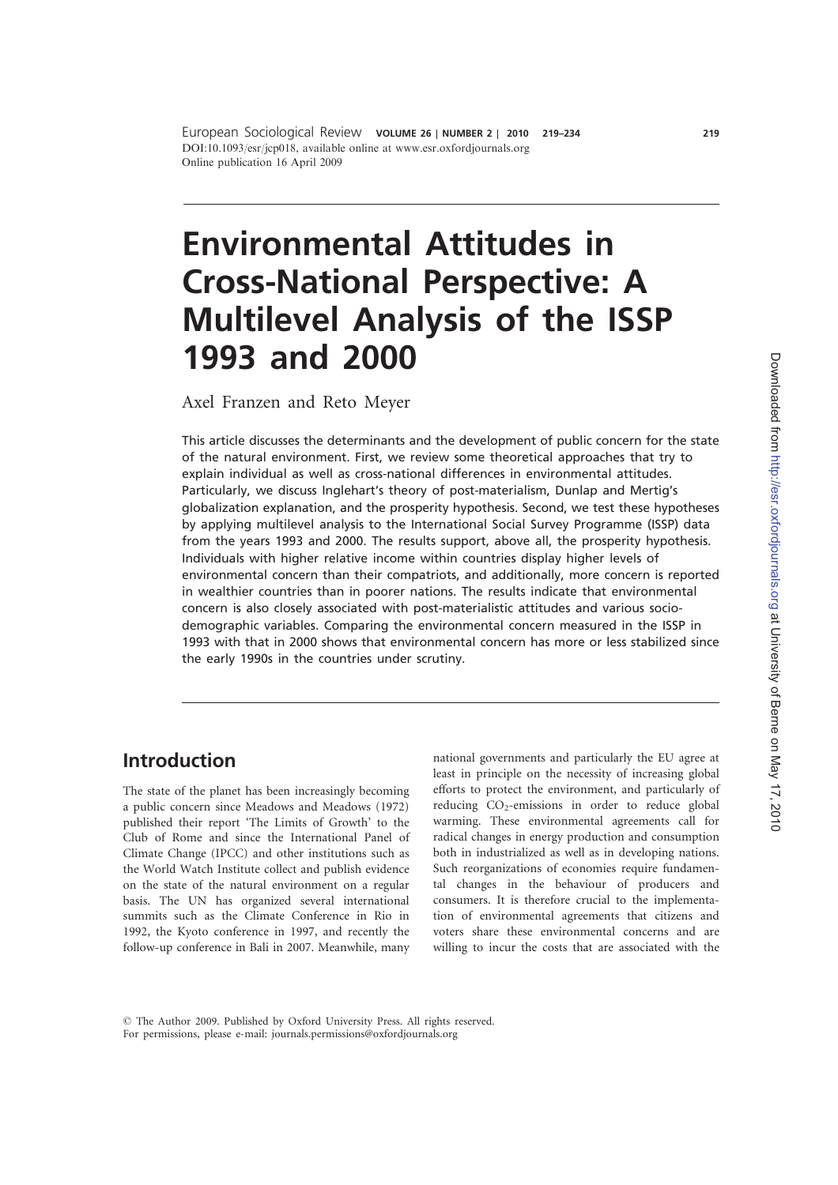European Sociological Review volume 26 | NUMBER 2 | 2010 219-234 219 DOI:10.1093/esr/jcp018, available online at www.esr.oxfordjournals.org Online publication 16 April 2009

# Environmental Attitudes in Cross-National Perspective: A Multilevel Analysis of the ISSP 1993 and 2000

Axel Franzen and Reto Meyer

This article discusses the determinants and the development of public concern for the state of the natural environment. First, we review some theoretical approaches that try to explain individual as well as cross-national differences in environmental attitudes. Particularly, we discuss Inglehart's theory of post-materialism, Dunlap and Mertig's globalization explanation, and the prosperity hypothesis. Second, we test these hypotheses by applying multilevel analysis to the International Social Survey Programme (ISSP) data from the years 1993 and 2000. The results support, above all, the prosperity hypothesis. Individuals with higher relative income within countries display higher levels of environmental concern than their compatriots, and additionally, more concern is reported in wealthier countries than in poorer nations. The results indicate that environmental concern is also closely associated with post-materialistic attitudes and various sociodemographic variables. Comparing the environmental concern measured in the ISSP in 1993 with that in 2000 shows that environmental concern has more or less stabilized since the early 1990s in the countries under scrutiny.

### Introduction

The state of the planet has been increasingly becoming a public concern since Meadows and Meadows (1972) published their report 'The Limits of Growth' to the Club of Rome and since the International Panel of Climate Change (IPCC) and other institutions such as the World Watch Institute collect and publish evidence on the state of the natural environment on a regular basis. The UN has organized several international summits such as the Climate Conference in Rio in 1992, the Kyoto conference in 1997, and recently the follow-up conference in Bali in 2007. Meanwhile, many

national governments and particularly the EU agree at least in principle on the necessity of increasing global efforts to protect the environment, and particularly of reducing  $CO_2$ -emissions in order to reduce global warming. These environmental agreements call for radical changes in energy production and consumption both in industrialized as well as in developing nations. Such reorganizations of economies require fundamental changes in the behaviour of producers and consumers. It is therefore crucial to the implementation of environmental agreements that citizens and voters share these environmental concerns and are willing to incur the costs that are associated with the

ß The Author 2009. Published by Oxford University Press. All rights reserved. For permissions, please e-mail: journals.permissions@oxfordjournals.org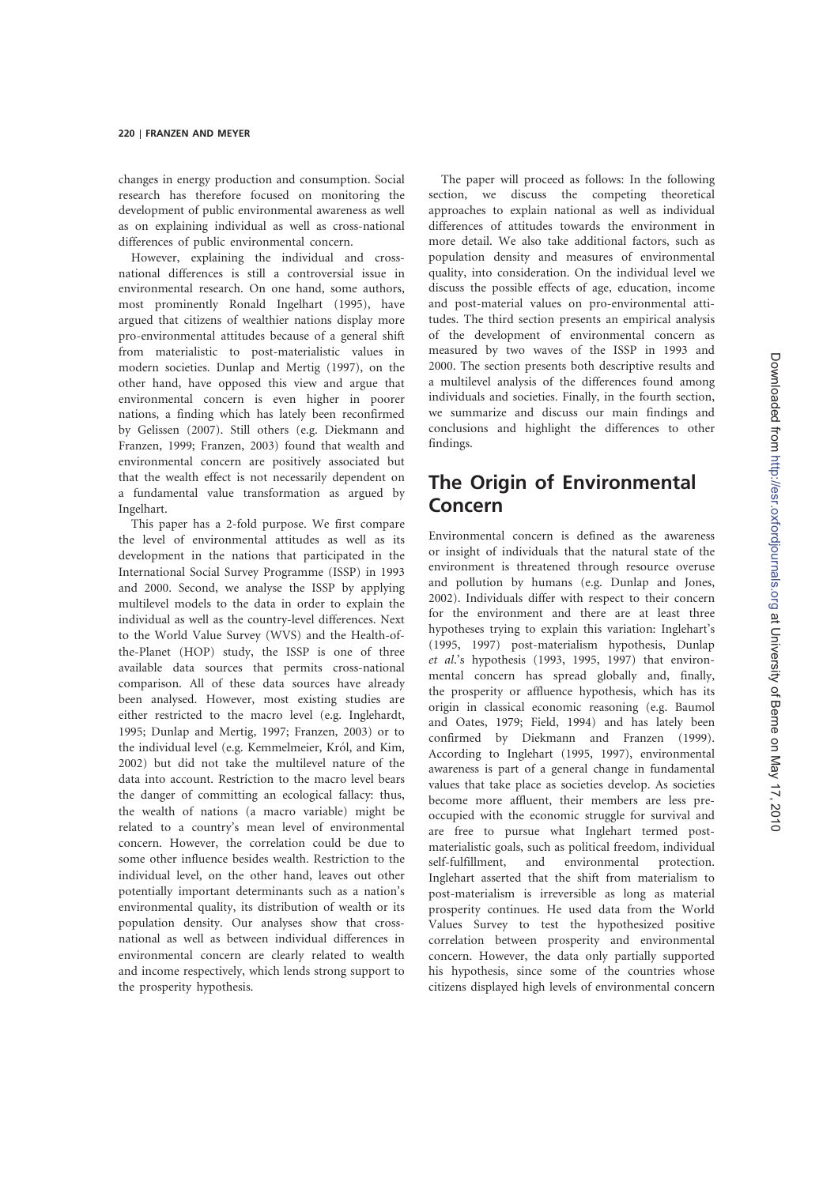changes in energy production and consumption. Social research has therefore focused on monitoring the development of public environmental awareness as well as on explaining individual as well as cross-national differences of public environmental concern.

However, explaining the individual and crossnational differences is still a controversial issue in environmental research. On one hand, some authors, most prominently Ronald Ingelhart (1995), have argued that citizens of wealthier nations display more pro-environmental attitudes because of a general shift from materialistic to post-materialistic values in modern societies. Dunlap and Mertig (1997), on the other hand, have opposed this view and argue that environmental concern is even higher in poorer nations, a finding which has lately been reconfirmed by Gelissen (2007). Still others (e.g. Diekmann and Franzen, 1999; Franzen, 2003) found that wealth and environmental concern are positively associated but that the wealth effect is not necessarily dependent on a fundamental value transformation as argued by Ingelhart.

This paper has a 2-fold purpose. We first compare the level of environmental attitudes as well as its development in the nations that participated in the International Social Survey Programme (ISSP) in 1993 and 2000. Second, we analyse the ISSP by applying multilevel models to the data in order to explain the individual as well as the country-level differences. Next to the World Value Survey (WVS) and the Health-ofthe-Planet (HOP) study, the ISSP is one of three available data sources that permits cross-national comparison. All of these data sources have already been analysed. However, most existing studies are either restricted to the macro level (e.g. Inglehardt, 1995; Dunlap and Mertig, 1997; Franzen, 2003) or to the individual level (e.g. Kemmelmeier, Król, and Kim, 2002) but did not take the multilevel nature of the data into account. Restriction to the macro level bears the danger of committing an ecological fallacy: thus, the wealth of nations (a macro variable) might be related to a country's mean level of environmental concern. However, the correlation could be due to some other influence besides wealth. Restriction to the individual level, on the other hand, leaves out other potentially important determinants such as a nation's environmental quality, its distribution of wealth or its population density. Our analyses show that crossnational as well as between individual differences in environmental concern are clearly related to wealth and income respectively, which lends strong support to the prosperity hypothesis.

The paper will proceed as follows: In the following section, we discuss the competing theoretical approaches to explain national as well as individual differences of attitudes towards the environment in more detail. We also take additional factors, such as population density and measures of environmental quality, into consideration. On the individual level we discuss the possible effects of age, education, income and post-material values on pro-environmental attitudes. The third section presents an empirical analysis of the development of environmental concern as measured by two waves of the ISSP in 1993 and 2000. The section presents both descriptive results and a multilevel analysis of the differences found among individuals and societies. Finally, in the fourth section, we summarize and discuss our main findings and conclusions and highlight the differences to other findings.

## The Origin of Environmental Concern

Environmental concern is defined as the awareness or insight of individuals that the natural state of the environment is threatened through resource overuse and pollution by humans (e.g. Dunlap and Jones, 2002). Individuals differ with respect to their concern for the environment and there are at least three hypotheses trying to explain this variation: Inglehart's (1995, 1997) post-materialism hypothesis, Dunlap *et al*.'s hypothesis (1993, 1995, 1997) that environmental concern has spread globally and, finally, the prosperity or affluence hypothesis, which has its origin in classical economic reasoning (e.g. Baumol and Oates, 1979; Field, 1994) and has lately been confirmed by Diekmann and Franzen (1999). According to Inglehart (1995, 1997), environmental awareness is part of a general change in fundamental values that take place as societies develop. As societies become more affluent, their members are less preoccupied with the economic struggle for survival and are free to pursue what Inglehart termed postmaterialistic goals, such as political freedom, individual self-fulfillment, and environmental protection. Inglehart asserted that the shift from materialism to post-materialism is irreversible as long as material prosperity continues. He used data from the World Values Survey to test the hypothesized positive correlation between prosperity and environmental concern. However, the data only partially supported his hypothesis, since some of the countries whose citizens displayed high levels of environmental concern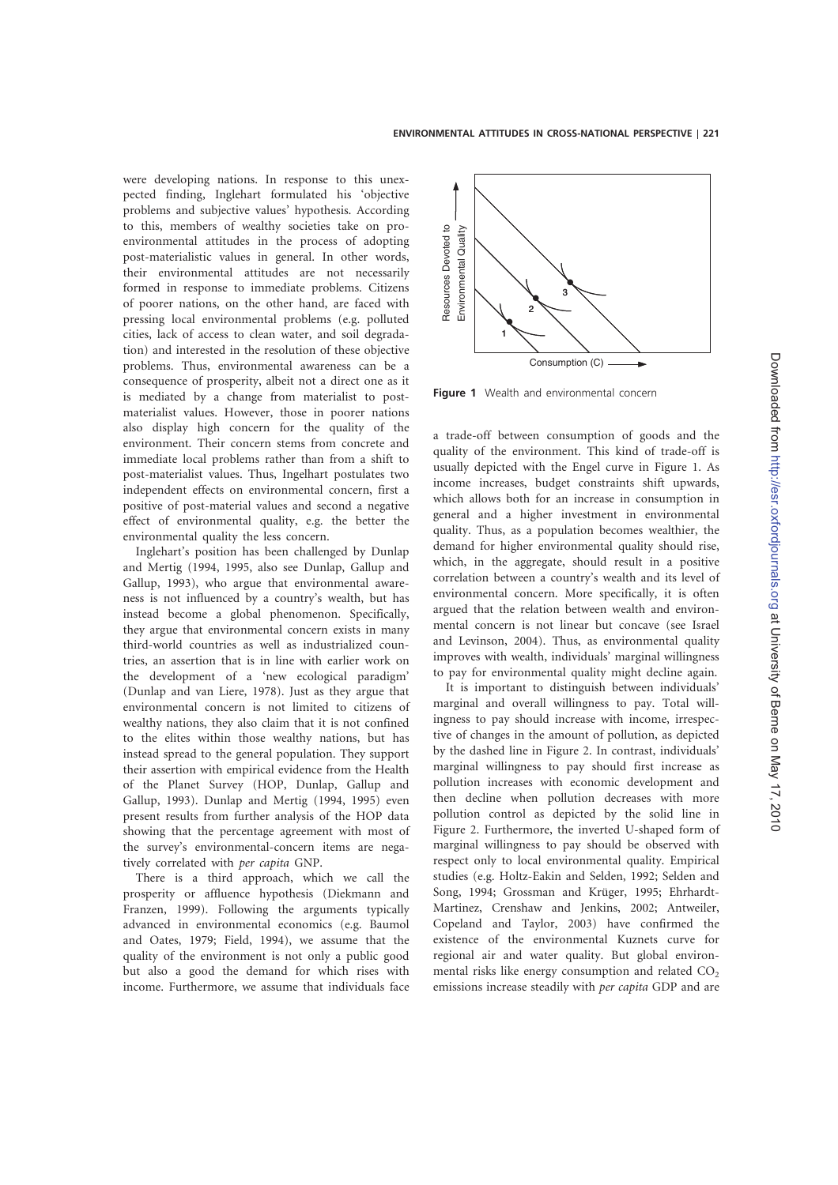were developing nations. In response to this unexpected finding, Inglehart formulated his 'objective problems and subjective values' hypothesis. According to this, members of wealthy societies take on proenvironmental attitudes in the process of adopting post-materialistic values in general. In other words, their environmental attitudes are not necessarily formed in response to immediate problems. Citizens of poorer nations, on the other hand, are faced with pressing local environmental problems (e.g. polluted cities, lack of access to clean water, and soil degradation) and interested in the resolution of these objective problems. Thus, environmental awareness can be a consequence of prosperity, albeit not a direct one as it is mediated by a change from materialist to postmaterialist values. However, those in poorer nations also display high concern for the quality of the environment. Their concern stems from concrete and immediate local problems rather than from a shift to post-materialist values. Thus, Ingelhart postulates two independent effects on environmental concern, first a positive of post-material values and second a negative effect of environmental quality, e.g. the better the environmental quality the less concern.

Inglehart's position has been challenged by Dunlap and Mertig (1994, 1995, also see Dunlap, Gallup and Gallup, 1993), who argue that environmental awareness is not influenced by a country's wealth, but has instead become a global phenomenon. Specifically, they argue that environmental concern exists in many third-world countries as well as industrialized countries, an assertion that is in line with earlier work on the development of a 'new ecological paradigm' (Dunlap and van Liere, 1978). Just as they argue that environmental concern is not limited to citizens of wealthy nations, they also claim that it is not confined to the elites within those wealthy nations, but has instead spread to the general population. They support their assertion with empirical evidence from the Health of the Planet Survey (HOP, Dunlap, Gallup and Gallup, 1993). Dunlap and Mertig (1994, 1995) even present results from further analysis of the HOP data showing that the percentage agreement with most of the survey's environmental-concern items are negatively correlated with *per capita* GNP.

There is a third approach, which we call the prosperity or affluence hypothesis (Diekmann and Franzen, 1999). Following the arguments typically advanced in environmental economics (e.g. Baumol and Oates, 1979; Field, 1994), we assume that the quality of the environment is not only a public good but also a good the demand for which rises with income. Furthermore, we assume that individuals face



Figure 1 Wealth and environmental concern

a trade-off between consumption of goods and the quality of the environment. This kind of trade-off is usually depicted with the Engel curve in Figure 1. As income increases, budget constraints shift upwards, which allows both for an increase in consumption in general and a higher investment in environmental quality. Thus, as a population becomes wealthier, the demand for higher environmental quality should rise, which, in the aggregate, should result in a positive correlation between a country's wealth and its level of environmental concern. More specifically, it is often argued that the relation between wealth and environmental concern is not linear but concave (see Israel and Levinson, 2004). Thus, as environmental quality improves with wealth, individuals' marginal willingness to pay for environmental quality might decline again.

It is important to distinguish between individuals' marginal and overall willingness to pay. Total willingness to pay should increase with income, irrespective of changes in the amount of pollution, as depicted by the dashed line in Figure 2. In contrast, individuals' marginal willingness to pay should first increase as pollution increases with economic development and then decline when pollution decreases with more pollution control as depicted by the solid line in Figure 2. Furthermore, the inverted U-shaped form of marginal willingness to pay should be observed with respect only to local environmental quality. Empirical studies (e.g. Holtz-Eakin and Selden, 1992; Selden and Song, 1994; Grossman and Krüger, 1995; Ehrhardt-Martinez, Crenshaw and Jenkins, 2002; Antweiler, Copeland and Taylor, 2003) have confirmed the existence of the environmental Kuznets curve for regional air and water quality. But global environmental risks like energy consumption and related  $CO<sub>2</sub>$ emissions increase steadily with *per capita* GDP and are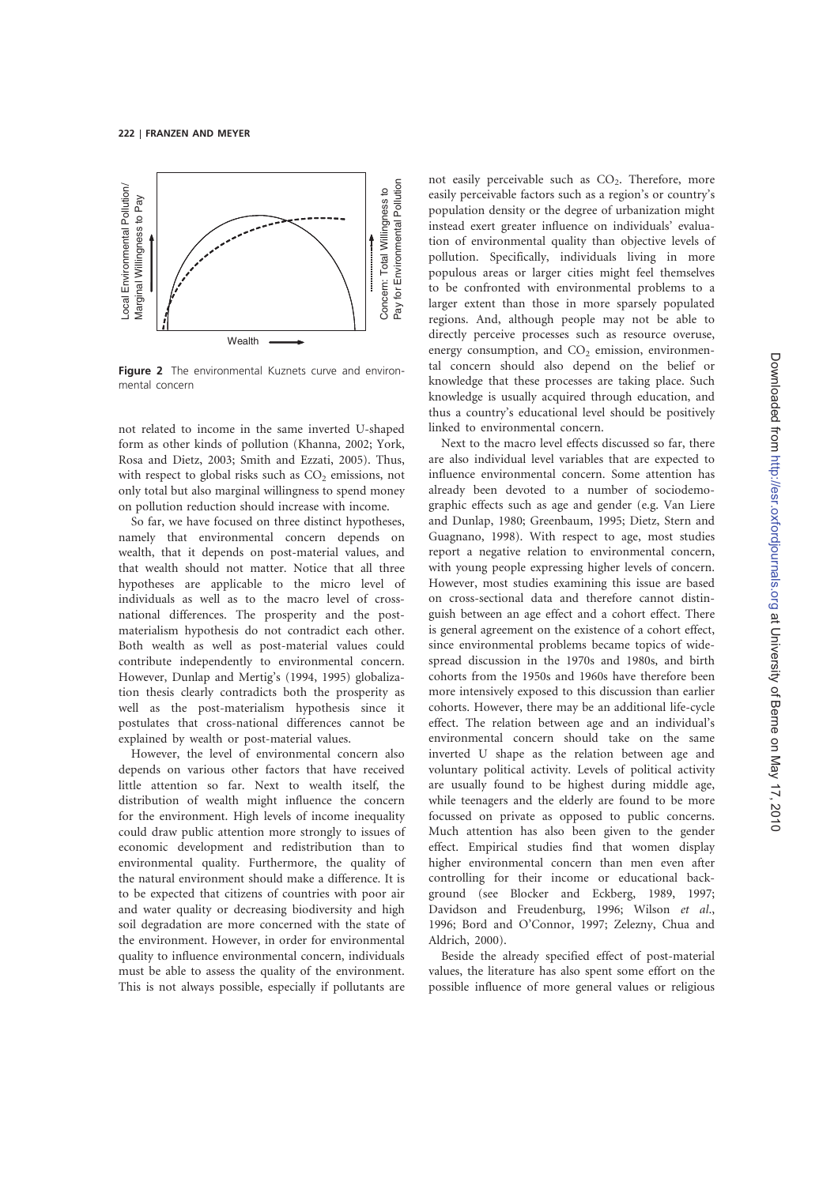

Figure 2 The environmental Kuznets curve and environmental concern

not related to income in the same inverted U-shaped form as other kinds of pollution (Khanna, 2002; York, Rosa and Dietz, 2003; Smith and Ezzati, 2005). Thus, with respect to global risks such as  $CO<sub>2</sub>$  emissions, not only total but also marginal willingness to spend money on pollution reduction should increase with income.

So far, we have focused on three distinct hypotheses, namely that environmental concern depends on wealth, that it depends on post-material values, and that wealth should not matter. Notice that all three hypotheses are applicable to the micro level of individuals as well as to the macro level of crossnational differences. The prosperity and the postmaterialism hypothesis do not contradict each other. Both wealth as well as post-material values could contribute independently to environmental concern. However, Dunlap and Mertig's (1994, 1995) globalization thesis clearly contradicts both the prosperity as well as the post-materialism hypothesis since it postulates that cross-national differences cannot be explained by wealth or post-material values.

However, the level of environmental concern also depends on various other factors that have received little attention so far. Next to wealth itself, the distribution of wealth might influence the concern for the environment. High levels of income inequality could draw public attention more strongly to issues of economic development and redistribution than to environmental quality. Furthermore, the quality of the natural environment should make a difference. It is to be expected that citizens of countries with poor air and water quality or decreasing biodiversity and high soil degradation are more concerned with the state of the environment. However, in order for environmental quality to influence environmental concern, individuals must be able to assess the quality of the environment. This is not always possible, especially if pollutants are

not easily perceivable such as CO<sub>2</sub>. Therefore, more easily perceivable factors such as a region's or country's population density or the degree of urbanization might instead exert greater influence on individuals' evaluation of environmental quality than objective levels of pollution. Specifically, individuals living in more populous areas or larger cities might feel themselves to be confronted with environmental problems to a larger extent than those in more sparsely populated regions. And, although people may not be able to directly perceive processes such as resource overuse, energy consumption, and  $CO<sub>2</sub>$  emission, environmental concern should also depend on the belief or knowledge that these processes are taking place. Such knowledge is usually acquired through education, and thus a country's educational level should be positively linked to environmental concern.

Next to the macro level effects discussed so far, there are also individual level variables that are expected to influence environmental concern. Some attention has already been devoted to a number of sociodemographic effects such as age and gender (e.g. Van Liere and Dunlap, 1980; Greenbaum, 1995; Dietz, Stern and Guagnano, 1998). With respect to age, most studies report a negative relation to environmental concern, with young people expressing higher levels of concern. However, most studies examining this issue are based on cross-sectional data and therefore cannot distinguish between an age effect and a cohort effect. There is general agreement on the existence of a cohort effect, since environmental problems became topics of widespread discussion in the 1970s and 1980s, and birth cohorts from the 1950s and 1960s have therefore been more intensively exposed to this discussion than earlier cohorts. However, there may be an additional life-cycle effect. The relation between age and an individual's environmental concern should take on the same inverted U shape as the relation between age and voluntary political activity. Levels of political activity are usually found to be highest during middle age, while teenagers and the elderly are found to be more focussed on private as opposed to public concerns. Much attention has also been given to the gender effect. Empirical studies find that women display higher environmental concern than men even after controlling for their income or educational background (see Blocker and Eckberg, 1989, 1997; Davidson and Freudenburg, 1996; Wilson *et al*., 1996; Bord and O'Connor, 1997; Zelezny, Chua and Aldrich, 2000).

Beside the already specified effect of post-material values, the literature has also spent some effort on the possible influence of more general values or religious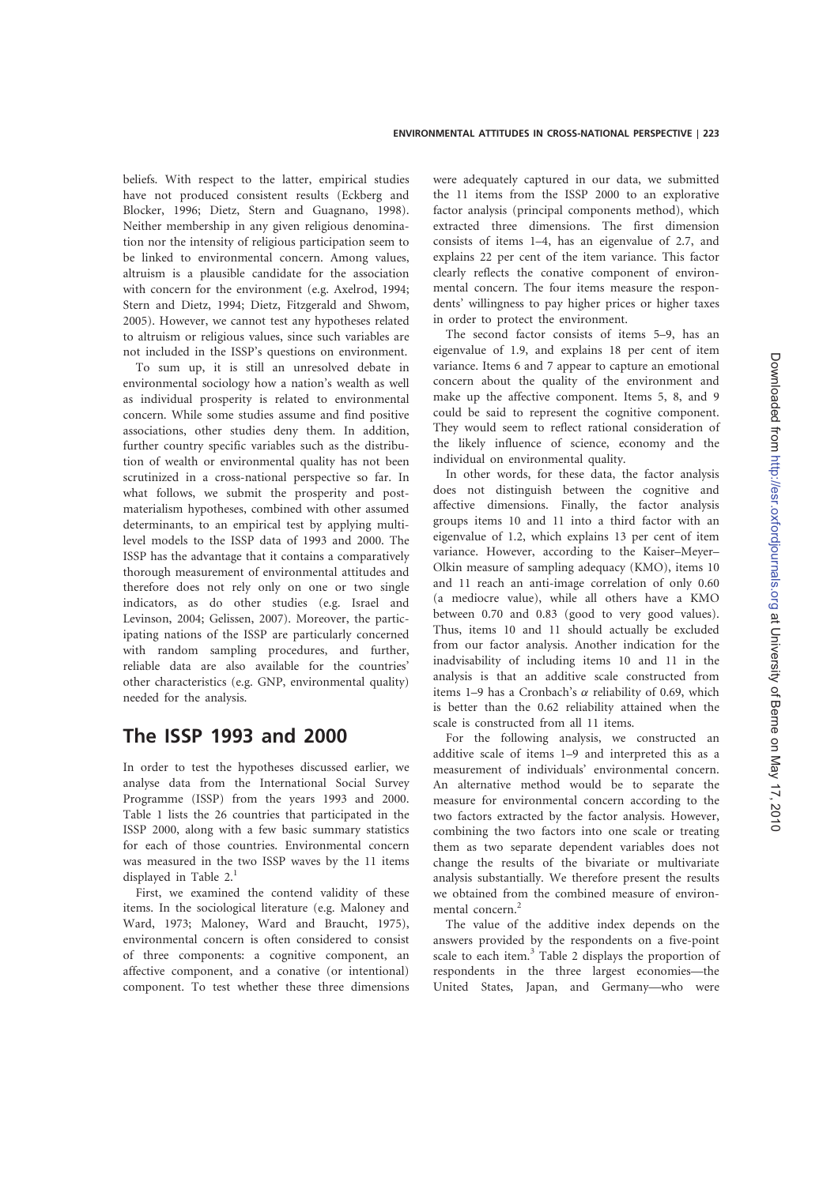beliefs. With respect to the latter, empirical studies have not produced consistent results (Eckberg and Blocker, 1996; Dietz, Stern and Guagnano, 1998). Neither membership in any given religious denomination nor the intensity of religious participation seem to be linked to environmental concern. Among values, altruism is a plausible candidate for the association with concern for the environment (e.g. Axelrod, 1994; Stern and Dietz, 1994; Dietz, Fitzgerald and Shwom, 2005). However, we cannot test any hypotheses related to altruism or religious values, since such variables are not included in the ISSP's questions on environment.

To sum up, it is still an unresolved debate in environmental sociology how a nation's wealth as well as individual prosperity is related to environmental concern. While some studies assume and find positive associations, other studies deny them. In addition, further country specific variables such as the distribution of wealth or environmental quality has not been scrutinized in a cross-national perspective so far. In what follows, we submit the prosperity and postmaterialism hypotheses, combined with other assumed determinants, to an empirical test by applying multilevel models to the ISSP data of 1993 and 2000. The ISSP has the advantage that it contains a comparatively thorough measurement of environmental attitudes and therefore does not rely only on one or two single indicators, as do other studies (e.g. Israel and Levinson, 2004; Gelissen, 2007). Moreover, the participating nations of the ISSP are particularly concerned with random sampling procedures, and further, reliable data are also available for the countries' other characteristics (e.g. GNP, environmental quality) needed for the analysis.

### The ISSP 1993 and 2000

In order to test the hypotheses discussed earlier, we analyse data from the International Social Survey Programme (ISSP) from the years 1993 and 2000. Table 1 lists the 26 countries that participated in the ISSP 2000, along with a few basic summary statistics for each of those countries. Environmental concern was measured in the two ISSP waves by the 11 items displayed in Table 2.

First, we examined the contend validity of these items. In the sociological literature (e.g. Maloney and Ward, 1973; Maloney, Ward and Braucht, 1975), environmental concern is often considered to consist of three components: a cognitive component, an affective component, and a conative (or intentional) component. To test whether these three dimensions were adequately captured in our data, we submitted the 11 items from the ISSP 2000 to an explorative factor analysis (principal components method), which extracted three dimensions. The first dimension consists of items 1–4, has an eigenvalue of 2.7, and explains 22 per cent of the item variance. This factor clearly reflects the conative component of environmental concern. The four items measure the respondents' willingness to pay higher prices or higher taxes in order to protect the environment.

The second factor consists of items 5–9, has an eigenvalue of 1.9, and explains 18 per cent of item variance. Items 6 and 7 appear to capture an emotional concern about the quality of the environment and make up the affective component. Items 5, 8, and 9 could be said to represent the cognitive component. They would seem to reflect rational consideration of the likely influence of science, economy and the individual on environmental quality.

In other words, for these data, the factor analysis does not distinguish between the cognitive and affective dimensions. Finally, the factor analysis groups items 10 and 11 into a third factor with an eigenvalue of 1.2, which explains 13 per cent of item variance. However, according to the Kaiser–Meyer– Olkin measure of sampling adequacy (KMO), items 10 and 11 reach an anti-image correlation of only 0.60 (a mediocre value), while all others have a KMO between 0.70 and 0.83 (good to very good values). Thus, items 10 and 11 should actually be excluded from our factor analysis. Another indication for the inadvisability of including items 10 and 11 in the analysis is that an additive scale constructed from items 1–9 has a Cronbach's  $\alpha$  reliability of 0.69, which is better than the 0.62 reliability attained when the scale is constructed from all 11 items.

For the following analysis, we constructed an additive scale of items 1–9 and interpreted this as a measurement of individuals' environmental concern. An alternative method would be to separate the measure for environmental concern according to the two factors extracted by the factor analysis. However, combining the two factors into one scale or treating them as two separate dependent variables does not change the results of the bivariate or multivariate analysis substantially. We therefore present the results we obtained from the combined measure of environmental concern.<sup>2</sup>

The value of the additive index depends on the answers provided by the respondents on a five-point scale to each item.<sup>3</sup> Table 2 displays the proportion of respondents in the three largest economies—the United States, Japan, and Germany—who were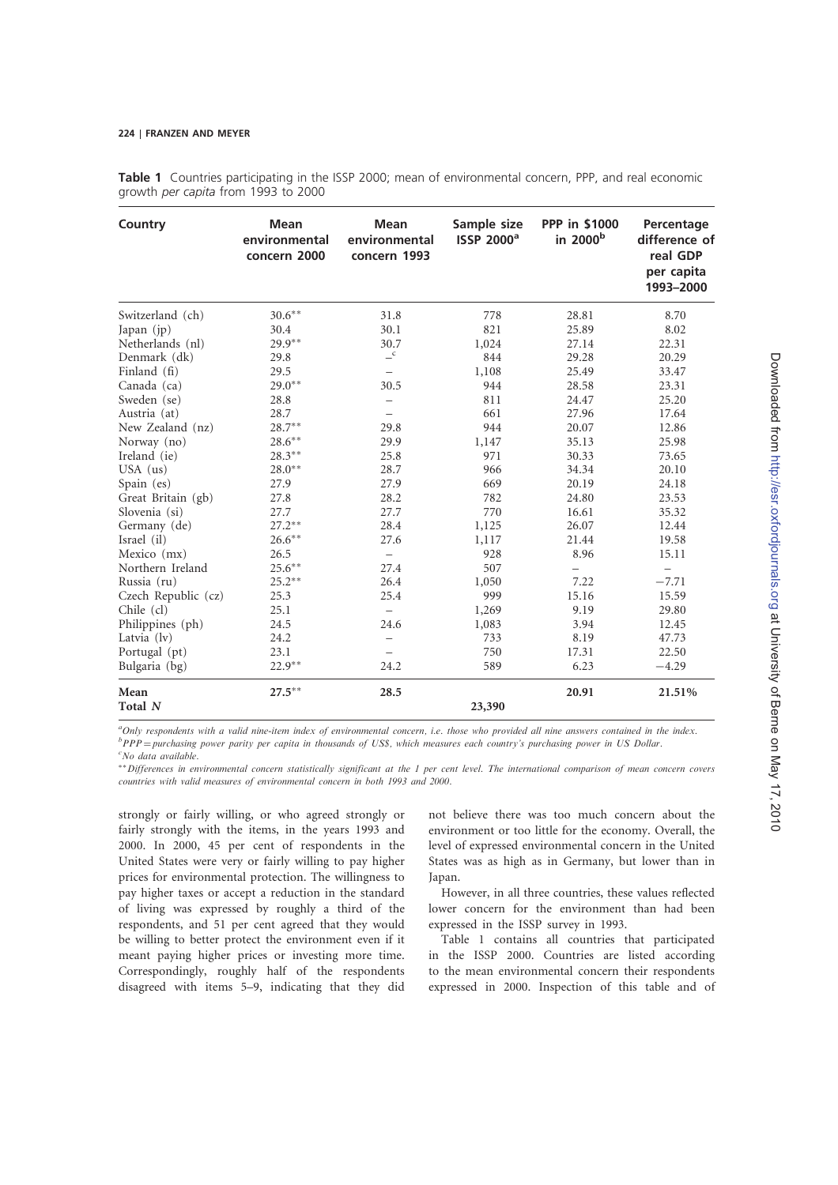| Country             | <b>Mean</b><br>environmental<br>concern 2000 | <b>Mean</b><br>environmental<br>concern 1993 | Sample size<br><b>ISSP 2000</b> <sup>a</sup> | <b>PPP in \$1000</b><br>in 2000 <sup>b</sup> | Percentage<br>difference of<br>real GDP<br>per capita<br>1993-2000 |
|---------------------|----------------------------------------------|----------------------------------------------|----------------------------------------------|----------------------------------------------|--------------------------------------------------------------------|
| Switzerland (ch)    | $30.6**$                                     | 31.8                                         | 778                                          | 28.81                                        | 8.70                                                               |
| Japan (jp)          | 30.4                                         | 30.1                                         | 821                                          | 25.89                                        | 8.02                                                               |
| Netherlands (nl)    | $29.9**$                                     | 30.7                                         | 1,024                                        | 27.14                                        | 22.31                                                              |
| Denmark (dk)        | 29.8                                         | $\overline{-}^c$                             | 844                                          | 29.28                                        | 20.29                                                              |
| Finland (fi)        | 29.5                                         | $\overline{\phantom{0}}$                     | 1,108                                        | 25.49                                        | 33.47                                                              |
| Canada (ca)         | $29.0**$                                     | 30.5                                         | 944                                          | 28.58                                        | 23.31                                                              |
| Sweden (se)         | 28.8                                         | —                                            | 811                                          | 24.47                                        | 25.20                                                              |
| Austria (at)        | 28.7                                         | $\overline{\phantom{m}}$                     | 661                                          | 27.96                                        | 17.64                                                              |
| New Zealand (nz)    | $28.7**$                                     | 29.8                                         | 944                                          | 20.07                                        | 12.86                                                              |
| Norway (no)         | $28.6***$                                    | 29.9                                         | 1,147                                        | 35.13                                        | 25.98                                                              |
| Ireland (ie)        | $28.3**$                                     | 25.8                                         | 971                                          | 30.33                                        | 73.65                                                              |
| USA (us)            | $28.0**$                                     | 28.7                                         | 966                                          | 34.34                                        | 20.10                                                              |
| Spain (es)          | 27.9                                         | 27.9                                         | 669                                          | 20.19                                        | 24.18                                                              |
| Great Britain (gb)  | 27.8                                         | 28.2                                         | 782                                          | 24.80                                        | 23.53                                                              |
| Slovenia (si)       | 27.7                                         | 27.7                                         | 770                                          | 16.61                                        | 35.32                                                              |
| Germany (de)        | $27.2***$                                    | 28.4                                         | 1,125                                        | 26.07                                        | 12.44                                                              |
| Israel (il)         | $26.6***$                                    | 27.6                                         | 1,117                                        | 21.44                                        | 19.58                                                              |
| Mexico (mx)         | 26.5                                         |                                              | 928                                          | 8.96                                         | 15.11                                                              |
| Northern Ireland    | $25.6***$                                    | 27.4                                         | 507                                          | $\overline{\phantom{0}}$                     | $\qquad \qquad -$                                                  |
| Russia (ru)         | $25.2***$                                    | 26.4                                         | 1,050                                        | 7.22                                         | $-7.71$                                                            |
| Czech Republic (cz) | 25.3                                         | 25.4                                         | 999                                          | 15.16                                        | 15.59                                                              |
| Chile (cl)          | 25.1                                         | $\overline{\phantom{m}}$                     | 1,269                                        | 9.19                                         | 29.80                                                              |
| Philippines (ph)    | 24.5                                         | 24.6                                         | 1,083                                        | 3.94                                         | 12.45                                                              |
| Latvia (lv)         | 24.2                                         | $\overline{\phantom{0}}$                     | 733                                          | 8.19                                         | 47.73                                                              |
| Portugal (pt)       | 23.1                                         |                                              | 750                                          | 17.31                                        | 22.50                                                              |
| Bulgaria (bg)       | 22.9**                                       | 24.2                                         | 589                                          | 6.23                                         | $-4.29$                                                            |
| Mean                | $27.5***$                                    | 28.5                                         |                                              | 20.91                                        | 21.51%                                                             |
| Total N             |                                              |                                              | 23,390                                       |                                              |                                                                    |

Table 1 Countries participating in the ISSP 2000; mean of environmental concern, PPP, and real economic growth per capita from 1993 to 2000

*<sup>a</sup>Only respondents with a valid nine-item index of environmental concern, i.e. those who provided all nine answers contained in the index.*  $^{b}$ *PPP* = purchasing power parity per capita in thousands of US\$, which measures each country's purchasing power in US Dollar.

*<sup>c</sup>No data available.*

 *Differences in environmental concern statistically significant at the 1 per cent level. The international comparison of mean concern covers countries with valid measures of environmental concern in both 1993 and 2000.*

strongly or fairly willing, or who agreed strongly or fairly strongly with the items, in the years 1993 and 2000. In 2000, 45 per cent of respondents in the United States were very or fairly willing to pay higher prices for environmental protection. The willingness to pay higher taxes or accept a reduction in the standard of living was expressed by roughly a third of the respondents, and 51 per cent agreed that they would be willing to better protect the environment even if it meant paying higher prices or investing more time. Correspondingly, roughly half of the respondents disagreed with items 5–9, indicating that they did not believe there was too much concern about the environment or too little for the economy. Overall, the level of expressed environmental concern in the United States was as high as in Germany, but lower than in Japan.

However, in all three countries, these values reflected lower concern for the environment than had been expressed in the ISSP survey in 1993.

Table 1 contains all countries that participated in the ISSP 2000. Countries are listed according to the mean environmental concern their respondents expressed in 2000. Inspection of this table and of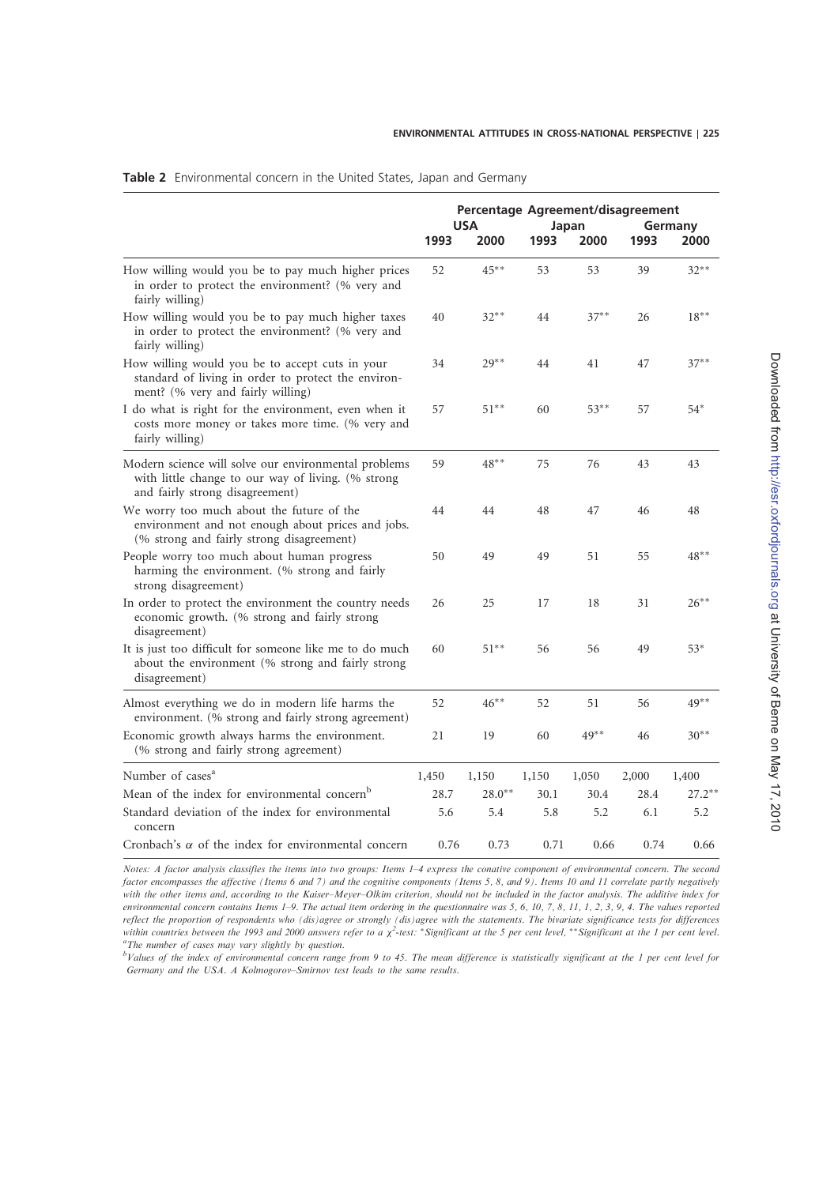|                                                                                                                                               | 1993  | Percentage Agreement/disagreement<br><b>USA</b><br>2000 | 1993  | Japan<br>2000 | 1993  | Germany<br>2000 |
|-----------------------------------------------------------------------------------------------------------------------------------------------|-------|---------------------------------------------------------|-------|---------------|-------|-----------------|
| How willing would you be to pay much higher prices<br>in order to protect the environment? (% very and<br>fairly willing)                     | 52    | $45***$                                                 | 53    | 53            | 39    | $32***$         |
| How willing would you be to pay much higher taxes<br>in order to protect the environment? (% very and<br>fairly willing)                      | 40    | $32***$                                                 | 44    | $37***$       | 26    | $18***$         |
| How willing would you be to accept cuts in your<br>standard of living in order to protect the environ-<br>ment? (% very and fairly willing)   | 34    | $29**$                                                  | 44    | 41            | 47    | $37**$          |
| I do what is right for the environment, even when it<br>costs more money or takes more time. (% very and<br>fairly willing)                   | 57    | $51***$                                                 | 60    | $53***$       | 57    | $54*$           |
| Modern science will solve our environmental problems<br>with little change to our way of living. (% strong<br>and fairly strong disagreement) | 59    | $48**$                                                  | 75    | 76            | 43    | 43              |
| We worry too much about the future of the<br>environment and not enough about prices and jobs.<br>(% strong and fairly strong disagreement)   | 44    | 44                                                      | 48    | 47            | 46    | 48              |
| People worry too much about human progress<br>harming the environment. (% strong and fairly<br>strong disagreement)                           | 50    | 49                                                      | 49    | 51            | 55    | $48^{**}$       |
| In order to protect the environment the country needs<br>economic growth. (% strong and fairly strong<br>disagreement)                        | 26    | 25                                                      | 17    | 18            | 31    | $26***$         |
| It is just too difficult for someone like me to do much<br>about the environment (% strong and fairly strong<br>disagreement)                 | 60    | $51***$                                                 | 56    | 56            | 49    | $53*$           |
| Almost everything we do in modern life harms the<br>environment. (% strong and fairly strong agreement)                                       | 52    | $46***$                                                 | 52    | 51            | 56    | $49^{**}$       |
| Economic growth always harms the environment.<br>(% strong and fairly strong agreement)                                                       | 21    | 19                                                      | 60    | 49**          | 46    | $30**$          |
| Number of cases <sup>a</sup>                                                                                                                  | 1,450 | 1,150                                                   | 1,150 | 1,050         | 2,000 | 1,400           |
| Mean of the index for environmental concern <sup>b</sup>                                                                                      | 28.7  | $28.0**$                                                | 30.1  | 30.4          | 28.4  | $27.2**$        |
| Standard deviation of the index for environmental<br>concern                                                                                  | 5.6   | 5.4                                                     | 5.8   | 5.2           | 6.1   | 5.2             |
| Cronbach's $\alpha$ of the index for environmental concern                                                                                    | 0.76  | 0.73                                                    | 0.71  | 0.66          | 0.74  | 0.66            |

### Table 2 Environmental concern in the United States, Japan and Germany

*Notes: A factor analysis classifies the items into two groups: Items 1–4 express the conative component of environmental concern. The second factor encompasses the affective (Items 6 and 7) and the cognitive components (Items 5, 8, and 9). Items 10 and 11 correlate partly negatively with the other items and, according to the Kaiser–Meyer–Olkim criterion, should not be included in the factor analysis. The additive index for environmental concern contains Items 1–9. The actual item ordering in the questionnaire was 5, 6, 10, 7, 8, 11, 1, 2, 3, 9, 4. The values reported reflect the proportion of respondents who (dis)agree or strongly (dis)agree with the statements. The bivariate significance tests for differences* within countries between the 1993 and 2000 answers refer to a  $\chi^2$ -test: \*Significant at the 5 per cent level. \*\*Significant at the 1 per cent level. *<sup>a</sup>The number of cases may vary slightly by question.*

*<sup>b</sup>Values of the index of environmental concern range from 9 to 45. The mean difference is statistically significant at the 1 per cent level for Germany and the USA. A Kolmogorov–Smirnov test leads to the same results.*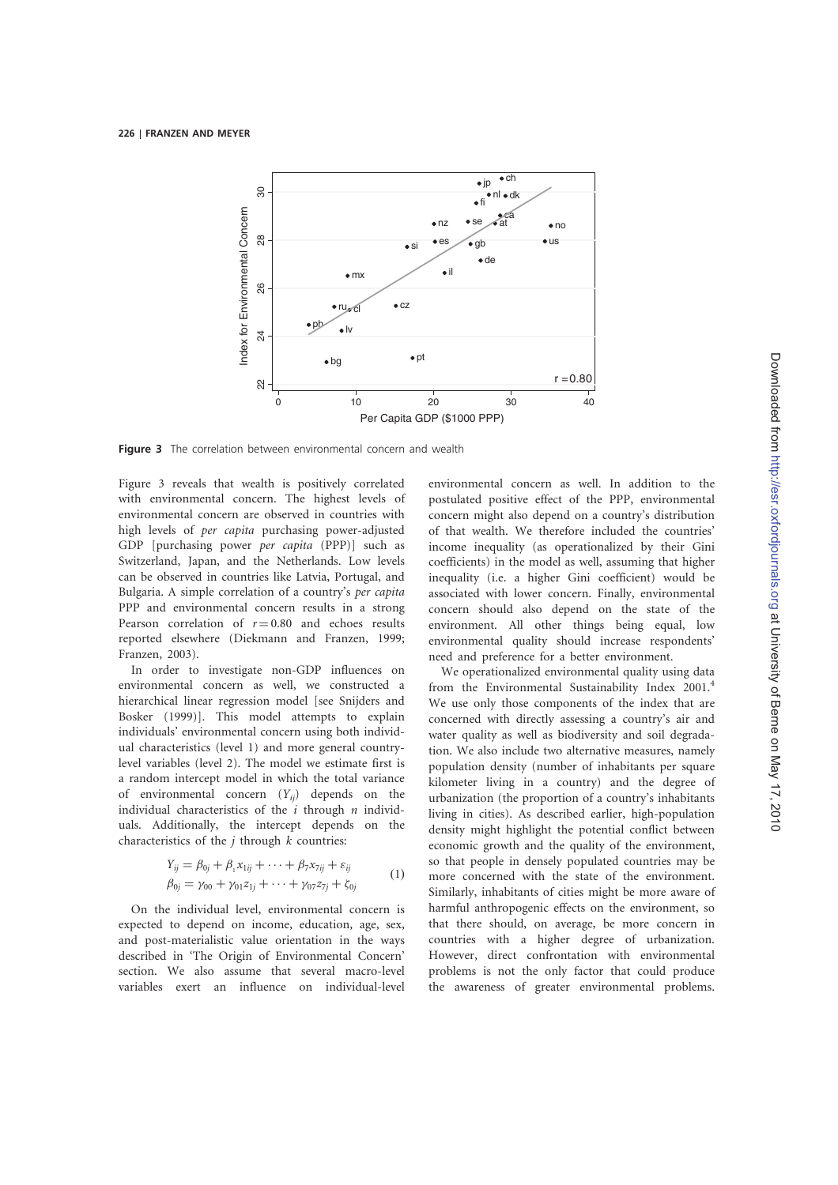

Figure 3 The correlation between environmental concern and wealth

Figure 3 reveals that wealth is positively correlated with environmental concern. The highest levels of environmental concern are observed in countries with high levels of *per capita* purchasing power-adjusted GDP [purchasing power *per capita* (PPP)] such as Switzerland, Japan, and the Netherlands. Low levels can be observed in countries like Latvia, Portugal, and Bulgaria. A simple correlation of a country's *per capita* PPP and environmental concern results in a strong Pearson correlation of  $r = 0.80$  and echoes results reported elsewhere (Diekmann and Franzen, 1999; Franzen, 2003).

In order to investigate non-GDP influences on environmental concern as well, we constructed a hierarchical linear regression model [see Snijders and Bosker (1999)]. This model attempts to explain individuals' environmental concern using both individual characteristics (level 1) and more general countrylevel variables (level 2). The model we estimate first is a random intercept model in which the total variance of environmental concern (*Yij*) depends on the individual characteristics of the *i* through *n* individuals. Additionally, the intercept depends on the characteristics of the *j* through *k* countries:

$$
Y_{ij} = \beta_{0j} + \beta_1 x_{1ij} + \dots + \beta_7 x_{7ij} + \varepsilon_{ij}
$$
  
\n
$$
\beta_{0j} = \gamma_{00} + \gamma_{01} z_{1j} + \dots + \gamma_{07} z_{7j} + \zeta_{0j}
$$
 (1)

On the individual level, environmental concern is expected to depend on income, education, age, sex, and post-materialistic value orientation in the ways described in 'The Origin of Environmental Concern' section. We also assume that several macro-level variables exert an influence on individual-level environmental concern as well. In addition to the postulated positive effect of the PPP, environmental concern might also depend on a country's distribution of that wealth. We therefore included the countries' income inequality (as operationalized by their Gini coefficients) in the model as well, assuming that higher inequality (i.e. a higher Gini coefficient) would be associated with lower concern. Finally, environmental concern should also depend on the state of the environment. All other things being equal, low environmental quality should increase respondents' need and preference for a better environment.

We operationalized environmental quality using data from the Environmental Sustainability Index 2001.<sup>4</sup> We use only those components of the index that are concerned with directly assessing a country's air and water quality as well as biodiversity and soil degradation. We also include two alternative measures, namely population density (number of inhabitants per square kilometer living in a country) and the degree of urbanization (the proportion of a country's inhabitants living in cities). As described earlier, high-population density might highlight the potential conflict between economic growth and the quality of the environment, so that people in densely populated countries may be more concerned with the state of the environment. Similarly, inhabitants of cities might be more aware of harmful anthropogenic effects on the environment, so that there should, on average, be more concern in countries with a higher degree of urbanization. However, direct confrontation with environmental problems is not the only factor that could produce the awareness of greater environmental problems.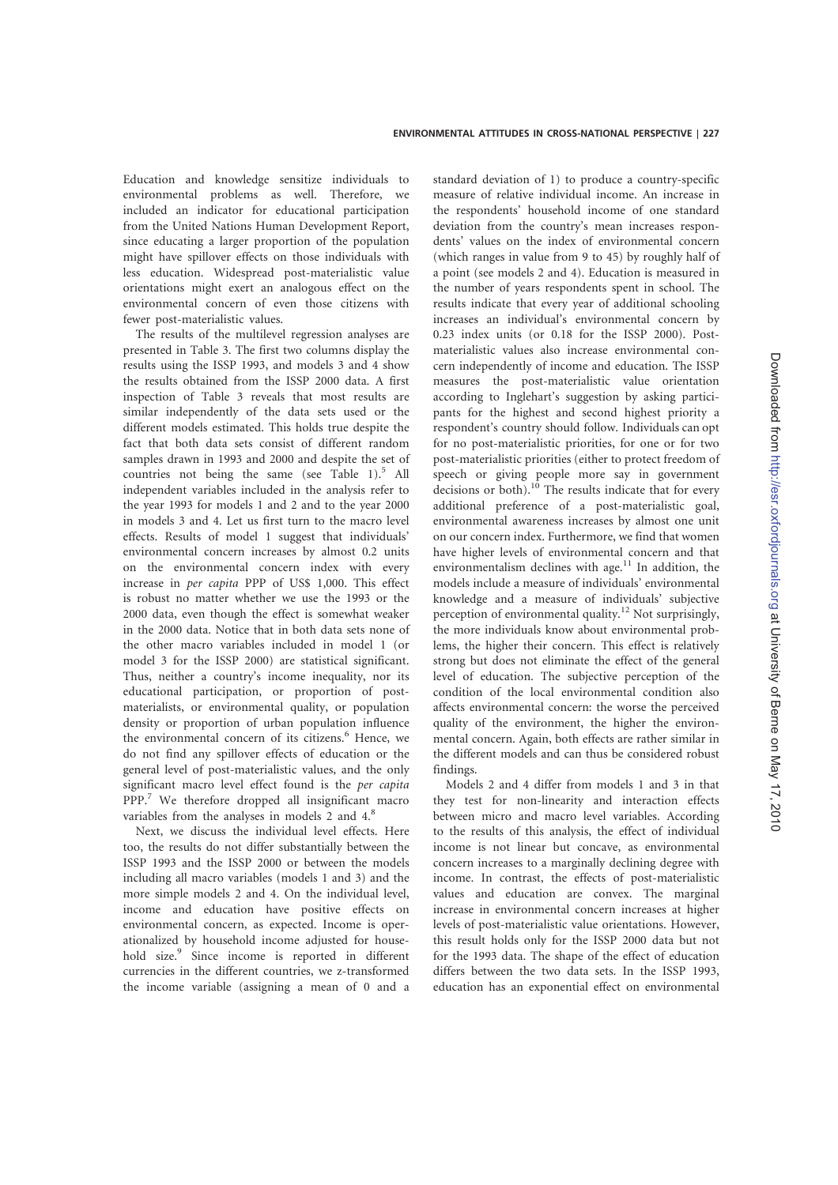Education and knowledge sensitize individuals to environmental problems as well. Therefore, we included an indicator for educational participation from the United Nations Human Development Report, since educating a larger proportion of the population might have spillover effects on those individuals with less education. Widespread post-materialistic value orientations might exert an analogous effect on the environmental concern of even those citizens with fewer post-materialistic values.

The results of the multilevel regression analyses are presented in Table 3. The first two columns display the results using the ISSP 1993, and models 3 and 4 show the results obtained from the ISSP 2000 data. A first inspection of Table 3 reveals that most results are similar independently of the data sets used or the different models estimated. This holds true despite the fact that both data sets consist of different random samples drawn in 1993 and 2000 and despite the set of countries not being the same (see Table 1). $5$  All independent variables included in the analysis refer to the year 1993 for models 1 and 2 and to the year 2000 in models 3 and 4. Let us first turn to the macro level effects. Results of model 1 suggest that individuals' environmental concern increases by almost 0.2 units on the environmental concern index with every increase in *per capita* PPP of US\$ 1,000. This effect is robust no matter whether we use the 1993 or the 2000 data, even though the effect is somewhat weaker in the 2000 data. Notice that in both data sets none of the other macro variables included in model 1 (or model 3 for the ISSP 2000) are statistical significant. Thus, neither a country's income inequality, nor its educational participation, or proportion of postmaterialists, or environmental quality, or population density or proportion of urban population influence the environmental concern of its citizens.<sup>6</sup> Hence, we do not find any spillover effects of education or the general level of post-materialistic values, and the only significant macro level effect found is the *per capita* PPP.<sup>7</sup> We therefore dropped all insignificant macro variables from the analyses in models 2 and 4.<sup>8</sup>

Next, we discuss the individual level effects. Here too, the results do not differ substantially between the ISSP 1993 and the ISSP 2000 or between the models including all macro variables (models 1 and 3) and the more simple models 2 and 4. On the individual level, income and education have positive effects on environmental concern, as expected. Income is operationalized by household income adjusted for household size.<sup>9</sup> Since income is reported in different currencies in the different countries, we z-transformed the income variable (assigning a mean of 0 and a standard deviation of 1) to produce a country-specific measure of relative individual income. An increase in the respondents' household income of one standard deviation from the country's mean increases respondents' values on the index of environmental concern (which ranges in value from 9 to 45) by roughly half of a point (see models 2 and 4). Education is measured in the number of years respondents spent in school. The results indicate that every year of additional schooling increases an individual's environmental concern by 0.23 index units (or 0.18 for the ISSP 2000). Postmaterialistic values also increase environmental concern independently of income and education. The ISSP measures the post-materialistic value orientation according to Inglehart's suggestion by asking participants for the highest and second highest priority a respondent's country should follow. Individuals can opt for no post-materialistic priorities, for one or for two post-materialistic priorities (either to protect freedom of speech or giving people more say in government decisions or both).<sup>10</sup> The results indicate that for every additional preference of a post-materialistic goal, environmental awareness increases by almost one unit on our concern index. Furthermore, we find that women have higher levels of environmental concern and that environmentalism declines with age. $^{11}$  In addition, the models include a measure of individuals' environmental knowledge and a measure of individuals' subjective perception of environmental quality.<sup>12</sup> Not surprisingly, the more individuals know about environmental problems, the higher their concern. This effect is relatively strong but does not eliminate the effect of the general level of education. The subjective perception of the condition of the local environmental condition also affects environmental concern: the worse the perceived quality of the environment, the higher the environmental concern. Again, both effects are rather similar in the different models and can thus be considered robust findings.

Models 2 and 4 differ from models 1 and 3 in that they test for non-linearity and interaction effects between micro and macro level variables. According to the results of this analysis, the effect of individual income is not linear but concave, as environmental concern increases to a marginally declining degree with income. In contrast, the effects of post-materialistic values and education are convex. The marginal increase in environmental concern increases at higher levels of post-materialistic value orientations. However, this result holds only for the ISSP 2000 data but not for the 1993 data. The shape of the effect of education differs between the two data sets. In the ISSP 1993, education has an exponential effect on environmental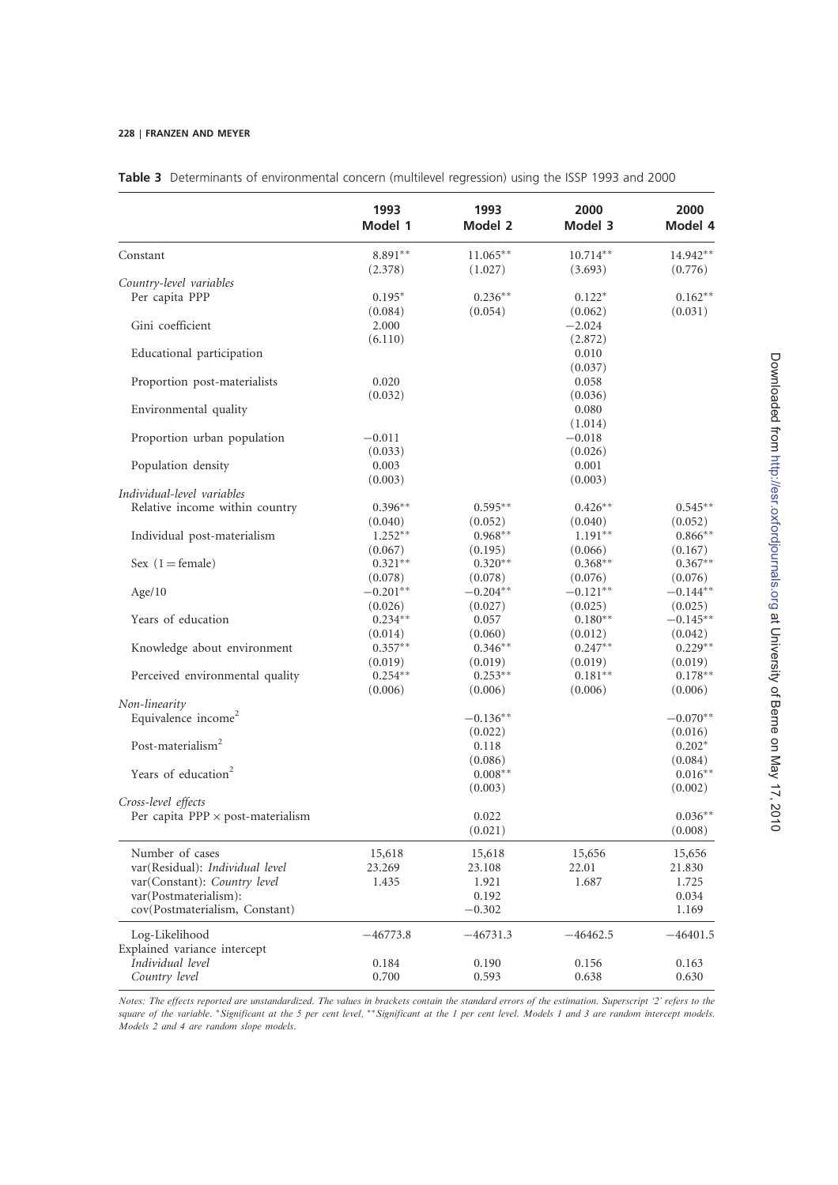|                                                                 | 1993<br>Model 1      | 1993<br>Model 2       | 2000<br>Model 3       | 2000<br>Model 4      |
|-----------------------------------------------------------------|----------------------|-----------------------|-----------------------|----------------------|
| Constant                                                        | 8.891**<br>(2.378)   | $11.065**$<br>(1.027) | $10.714**$<br>(3.693) | 14.942**<br>(0.776)  |
| Country-level variables<br>Per capita PPP                       | $0.195*$<br>(0.084)  | $0.236**$<br>(0.054)  | $0.122*$<br>(0.062)   | $0.162**$<br>(0.031) |
| Gini coefficient                                                | 2.000<br>(6.110)     |                       | $-2.024$<br>(2.872)   |                      |
| Educational participation                                       |                      |                       | 0.010<br>(0.037)      |                      |
| Proportion post-materialists                                    | 0.020<br>(0.032)     |                       | 0.058<br>(0.036)      |                      |
| Environmental quality                                           |                      |                       | 0.080<br>(1.014)      |                      |
| Proportion urban population                                     | $-0.011$<br>(0.033)  |                       | $-0.018$<br>(0.026)   |                      |
| Population density                                              | 0.003<br>(0.003)     |                       | 0.001<br>(0.003)      |                      |
| Individual-level variables<br>Relative income within country    | $0.396**$            | $0.595**$             | $0.426**$             | $0.545**$            |
|                                                                 | (0.040)              | (0.052)               | (0.040)               | (0.052)              |
| Individual post-materialism                                     | $1.252**$            | $0.968**$             | $1.191**$             | $0.866**$            |
|                                                                 | (0.067)              | (0.195)               | (0.066)               | (0.167)              |
| Sex $(1 = \text{female})$                                       | $0.321**$            | $0.320**$             | $0.368**$             | $0.367**$            |
|                                                                 | (0.078)              | (0.078)               | (0.076)               | (0.076)              |
| Age/10                                                          | $-0.201**$           | $-0.204**$            | $-0.121**$            | $-0.144**$           |
|                                                                 | (0.026)              | (0.027)               | (0.025)               | (0.025)              |
| Years of education                                              | $0.234**$            | 0.057                 | $0.180**$             | $-0.145**$           |
|                                                                 | (0.014)              | (0.060)               | (0.012)               | (0.042)              |
| Knowledge about environment                                     | $0.357**$<br>(0.019) | $0.346**$<br>(0.019)  | $0.247**$<br>(0.019)  | $0.229**$<br>(0.019) |
| Perceived environmental quality                                 | $0.254***$           | $0.253**$             | $0.181**$             | $0.178**$            |
|                                                                 | (0.006)              | (0.006)               | (0.006)               | (0.006)              |
| Non-linearity                                                   |                      |                       |                       |                      |
| Equivalence income <sup>2</sup>                                 |                      | $-0.136**$            |                       | $-0.070**$           |
|                                                                 |                      | (0.022)               |                       | (0.016)              |
| Post-materialism <sup>2</sup>                                   |                      | 0.118                 |                       | $0.202*$             |
|                                                                 |                      | (0.086)               |                       | (0.084)              |
| Years of education <sup>2</sup>                                 |                      | $0.008**$             |                       | $0.016**$            |
|                                                                 |                      | (0.003)               |                       | (0.002)              |
| Cross-level effects<br>Per capita $PPP \times post-materialism$ |                      | 0.022                 |                       | $0.036**$            |
|                                                                 |                      | (0.021)               |                       | (0.008)              |
| Number of cases                                                 | 15,618               | 15,618                | 15,656                | 15,656               |
| var(Residual): Individual level                                 | 23.269               | 23.108                | 22.01                 | 21.830               |
| var(Constant): Country level                                    | 1.435                | 1.921                 | 1.687                 | 1.725                |
| var(Postmaterialism):                                           |                      | 0.192                 |                       | 0.034                |
| cov(Postmaterialism, Constant)                                  |                      | $-0.302$              |                       | 1.169                |
| Log-Likelihood<br>Explained variance intercept                  | $-46773.8$           | $-46731.3$            | $-46462.5$            | $-46401.5$           |
| Individual level                                                | 0.184                | 0.190                 | 0.156                 | 0.163                |
| Country level                                                   | 0.700                | 0.593                 | 0.638                 | 0.630                |

Table 3 Determinants of environmental concern (multilevel regression) using the ISSP 1993 and 2000

*Notes: The effects reported are unstandardized. The values in brackets contain the standard errors of the estimation. Superscript '2' refers to the square of the variable. Significant at the 5 per cent level, Significant at the 1 per cent level. Models 1 and 3 are random intercept models. Models 2 and 4 are random slope models.*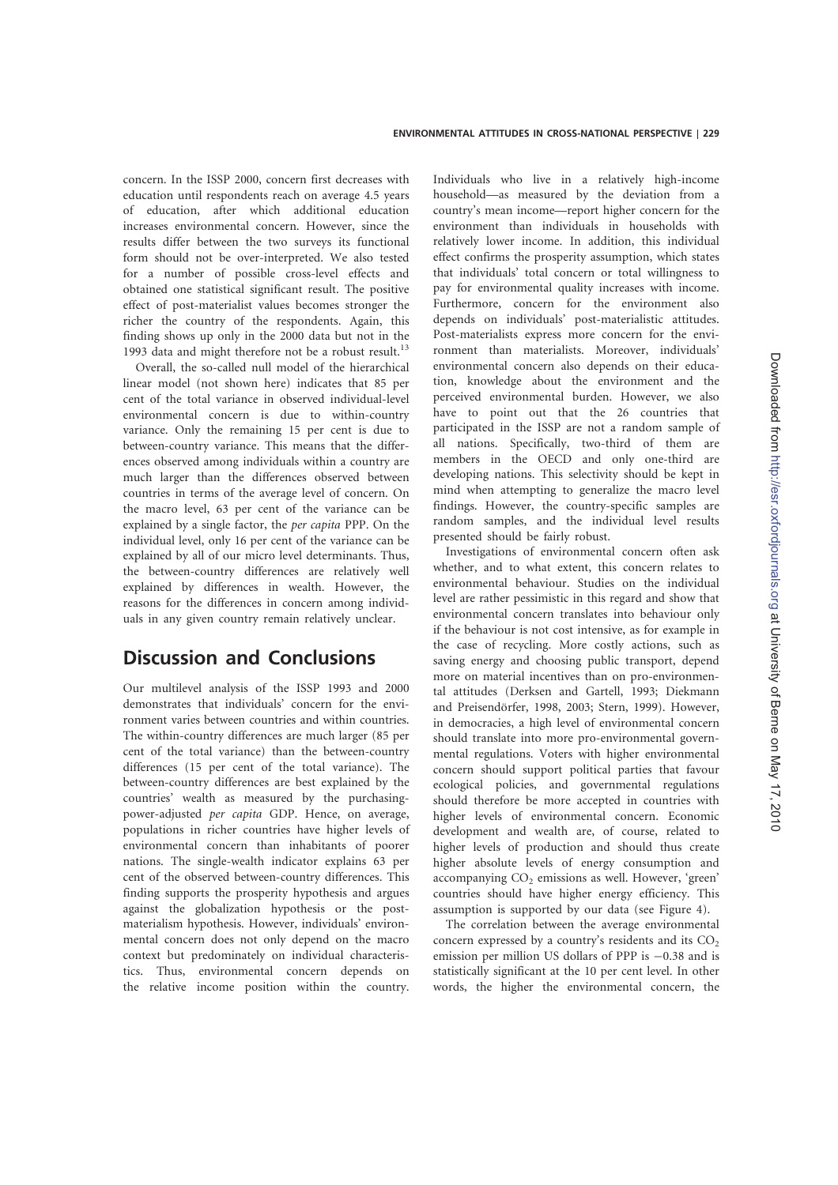concern. In the ISSP 2000, concern first decreases with education until respondents reach on average 4.5 years of education, after which additional education increases environmental concern. However, since the results differ between the two surveys its functional form should not be over-interpreted. We also tested for a number of possible cross-level effects and obtained one statistical significant result. The positive effect of post-materialist values becomes stronger the richer the country of the respondents. Again, this finding shows up only in the 2000 data but not in the 1993 data and might therefore not be a robust result.<sup>13</sup>

Overall, the so-called null model of the hierarchical linear model (not shown here) indicates that 85 per cent of the total variance in observed individual-level environmental concern is due to within-country variance. Only the remaining 15 per cent is due to between-country variance. This means that the differences observed among individuals within a country are much larger than the differences observed between countries in terms of the average level of concern. On the macro level, 63 per cent of the variance can be explained by a single factor, the *per capita* PPP. On the individual level, only 16 per cent of the variance can be explained by all of our micro level determinants. Thus, the between-country differences are relatively well explained by differences in wealth. However, the reasons for the differences in concern among individuals in any given country remain relatively unclear.

### Discussion and Conclusions

Our multilevel analysis of the ISSP 1993 and 2000 demonstrates that individuals' concern for the environment varies between countries and within countries. The within-country differences are much larger (85 per cent of the total variance) than the between-country differences (15 per cent of the total variance). The between-country differences are best explained by the countries' wealth as measured by the purchasingpower-adjusted *per capita* GDP. Hence, on average, populations in richer countries have higher levels of environmental concern than inhabitants of poorer nations. The single-wealth indicator explains 63 per cent of the observed between-country differences. This finding supports the prosperity hypothesis and argues against the globalization hypothesis or the postmaterialism hypothesis. However, individuals' environmental concern does not only depend on the macro context but predominately on individual characteristics. Thus, environmental concern depends on the relative income position within the country.

Individuals who live in a relatively high-income household—as measured by the deviation from a country's mean income—report higher concern for the environment than individuals in households with relatively lower income. In addition, this individual effect confirms the prosperity assumption, which states that individuals' total concern or total willingness to pay for environmental quality increases with income. Furthermore, concern for the environment also depends on individuals' post-materialistic attitudes. Post-materialists express more concern for the environment than materialists. Moreover, individuals' environmental concern also depends on their education, knowledge about the environment and the perceived environmental burden. However, we also have to point out that the 26 countries that participated in the ISSP are not a random sample of all nations. Specifically, two-third of them are members in the OECD and only one-third are developing nations. This selectivity should be kept in mind when attempting to generalize the macro level findings. However, the country-specific samples are random samples, and the individual level results presented should be fairly robust.

Investigations of environmental concern often ask whether, and to what extent, this concern relates to environmental behaviour. Studies on the individual level are rather pessimistic in this regard and show that environmental concern translates into behaviour only if the behaviour is not cost intensive, as for example in the case of recycling. More costly actions, such as saving energy and choosing public transport, depend more on material incentives than on pro-environmental attitudes (Derksen and Gartell, 1993; Diekmann and Preisendörfer, 1998, 2003; Stern, 1999). However, in democracies, a high level of environmental concern should translate into more pro-environmental governmental regulations. Voters with higher environmental concern should support political parties that favour ecological policies, and governmental regulations should therefore be more accepted in countries with higher levels of environmental concern. Economic development and wealth are, of course, related to higher levels of production and should thus create higher absolute levels of energy consumption and accompanying  $CO<sub>2</sub>$  emissions as well. However, 'green' countries should have higher energy efficiency. This assumption is supported by our data (see Figure 4).

The correlation between the average environmental concern expressed by a country's residents and its  $CO<sub>2</sub>$ emission per million US dollars of PPP is  $-0.38$  and is statistically significant at the 10 per cent level. In other words, the higher the environmental concern, the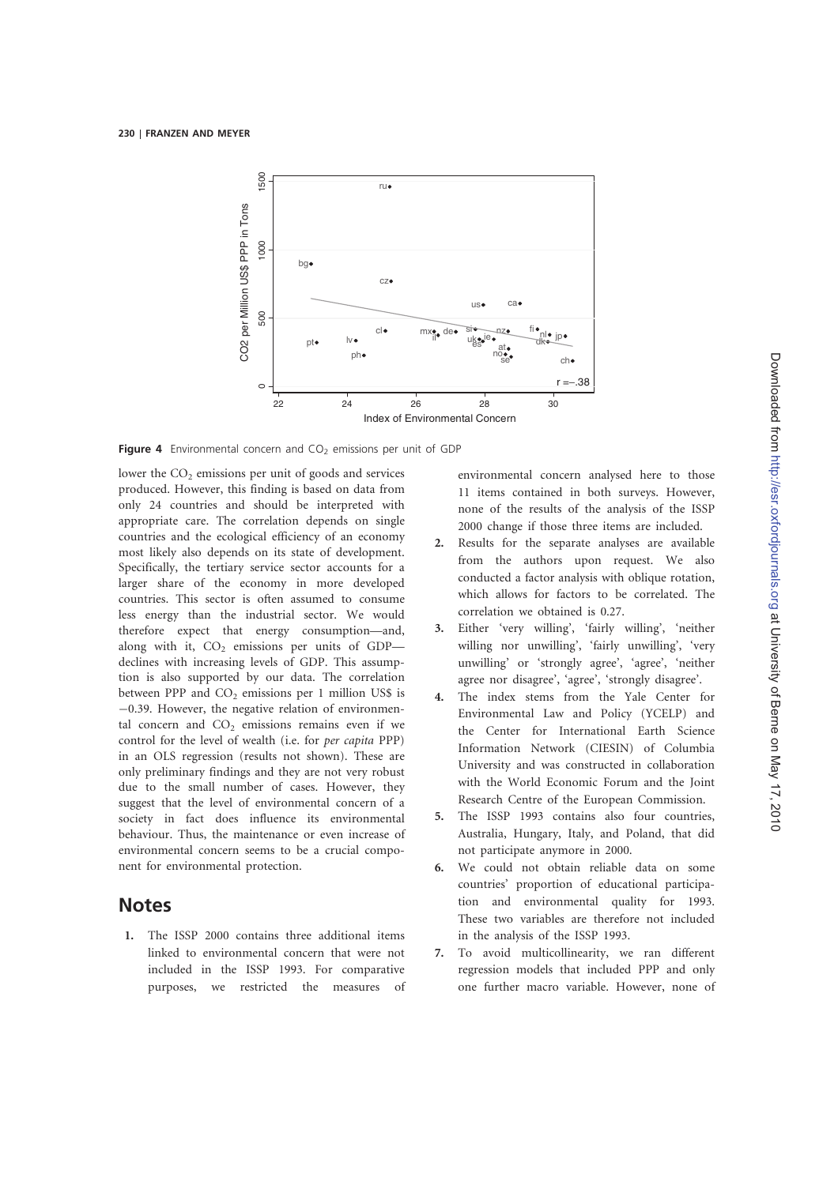

**Figure 4** Environmental concern and  $CO<sub>2</sub>$  emissions per unit of GDP

lower the  $CO<sub>2</sub>$  emissions per unit of goods and services produced. However, this finding is based on data from only 24 countries and should be interpreted with appropriate care. The correlation depends on single countries and the ecological efficiency of an economy most likely also depends on its state of development. Specifically, the tertiary service sector accounts for a larger share of the economy in more developed countries. This sector is often assumed to consume less energy than the industrial sector. We would therefore expect that energy consumption—and, along with it,  $CO<sub>2</sub>$  emissions per units of GDP declines with increasing levels of GDP. This assumption is also supported by our data. The correlation between PPP and  $CO<sub>2</sub>$  emissions per 1 million US\$ is  $-0.39$ . However, the negative relation of environmental concern and  $CO<sub>2</sub>$  emissions remains even if we control for the level of wealth (i.e. for *per capita* PPP) in an OLS regression (results not shown). These are only preliminary findings and they are not very robust due to the small number of cases. However, they suggest that the level of environmental concern of a society in fact does influence its environmental behaviour. Thus, the maintenance or even increase of environmental concern seems to be a crucial component for environmental protection.

### **Notes**

1. The ISSP 2000 contains three additional items linked to environmental concern that were not included in the ISSP 1993. For comparative purposes, we restricted the measures of

environmental concern analysed here to those 11 items contained in both surveys. However, none of the results of the analysis of the ISSP 2000 change if those three items are included.

- 2. Results for the separate analyses are available from the authors upon request. We also conducted a factor analysis with oblique rotation, which allows for factors to be correlated. The correlation we obtained is 0.27.
- 3. Either 'very willing', 'fairly willing', 'neither willing nor unwilling', 'fairly unwilling', 'very unwilling' or 'strongly agree', 'agree', 'neither agree nor disagree', 'agree', 'strongly disagree'.
- 4. The index stems from the Yale Center for Environmental Law and Policy (YCELP) and the Center for International Earth Science Information Network (CIESIN) of Columbia University and was constructed in collaboration with the World Economic Forum and the Joint Research Centre of the European Commission.
- 5. The ISSP 1993 contains also four countries, Australia, Hungary, Italy, and Poland, that did not participate anymore in 2000.
- 6. We could not obtain reliable data on some countries' proportion of educational participation and environmental quality for 1993. These two variables are therefore not included in the analysis of the ISSP 1993.
- 7. To avoid multicollinearity, we ran different regression models that included PPP and only one further macro variable. However, none of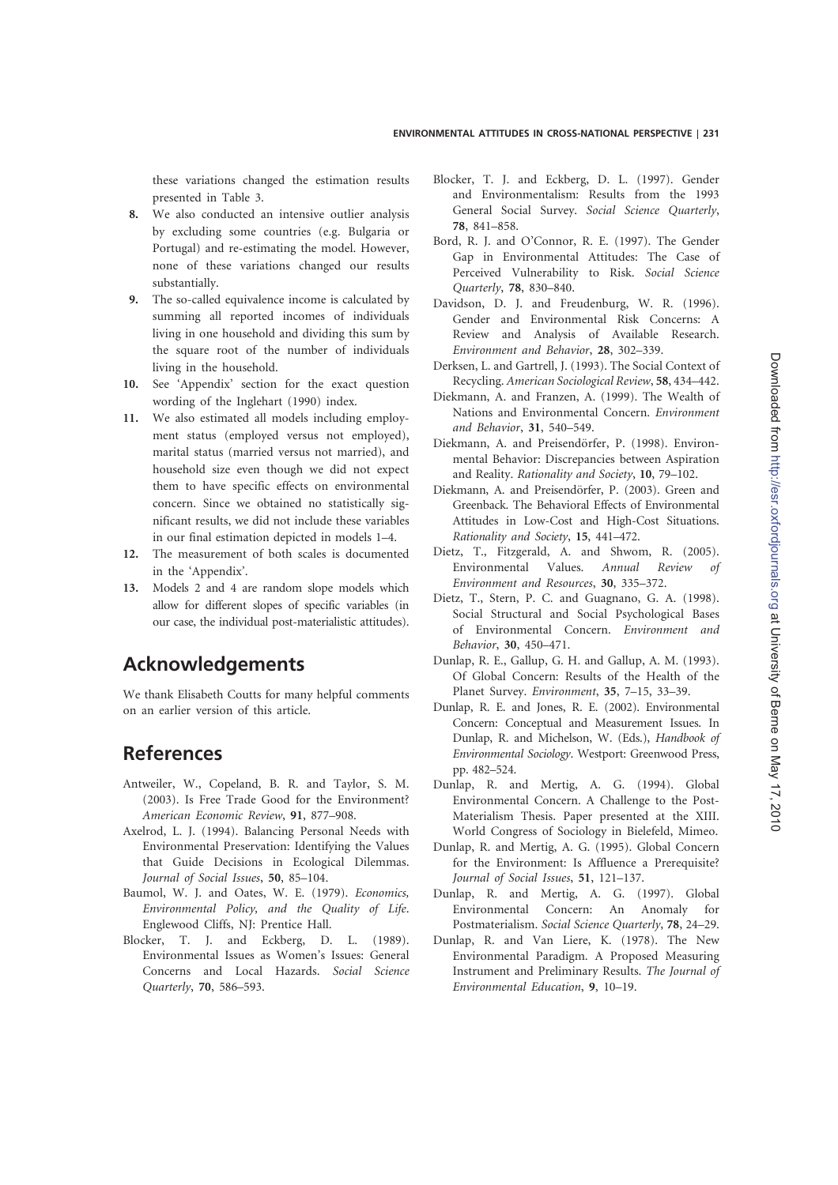#### ENVIRONMENTAL ATTITUDES IN CROSS-NATIONAL PERSPECTIVE | 231

these variations changed the estimation results presented in Table 3.

- 8. We also conducted an intensive outlier analysis by excluding some countries (e.g. Bulgaria or Portugal) and re-estimating the model. However, none of these variations changed our results substantially.
- 9. The so-called equivalence income is calculated by summing all reported incomes of individuals living in one household and dividing this sum by the square root of the number of individuals living in the household.
- 10. See 'Appendix' section for the exact question wording of the Inglehart (1990) index.
- 11. We also estimated all models including employment status (employed versus not employed), marital status (married versus not married), and household size even though we did not expect them to have specific effects on environmental concern. Since we obtained no statistically significant results, we did not include these variables in our final estimation depicted in models 1–4.
- 12. The measurement of both scales is documented in the 'Appendix'.
- 13. Models 2 and 4 are random slope models which allow for different slopes of specific variables (in our case, the individual post-materialistic attitudes).

# Acknowledgements

We thank Elisabeth Coutts for many helpful comments on an earlier version of this article.

### References

- Antweiler, W., Copeland, B. R. and Taylor, S. M. (2003). Is Free Trade Good for the Environment? *American Economic Review*, 91, 877–908.
- Axelrod, L. J. (1994). Balancing Personal Needs with Environmental Preservation: Identifying the Values that Guide Decisions in Ecological Dilemmas. *Journal of Social Issues*, 50, 85–104.
- Baumol, W. J. and Oates, W. E. (1979). *Economics, Environmental Policy, and the Quality of Life*. Englewood Cliffs, NJ: Prentice Hall.
- Blocker, T. J. and Eckberg, D. L. (1989). Environmental Issues as Women's Issues: General Concerns and Local Hazards. *Social Science Quarterly*, 70, 586–593.
- Blocker, T. J. and Eckberg, D. L. (1997). Gender and Environmentalism: Results from the 1993 General Social Survey. *Social Science Quarterly*, 78, 841–858.
- Bord, R. J. and O'Connor, R. E. (1997). The Gender Gap in Environmental Attitudes: The Case of Perceived Vulnerability to Risk. *Social Science Quarterly*, 78, 830–840.
- Davidson, D. J. and Freudenburg, W. R. (1996). Gender and Environmental Risk Concerns: A Review and Analysis of Available Research. *Environment and Behavior*, 28, 302–339.
- Derksen, L. and Gartrell, J. (1993). The Social Context of Recycling. *American Sociological Review*, 58, 434–442.
- Diekmann, A. and Franzen, A. (1999). The Wealth of Nations and Environmental Concern. *Environment and Behavior*, 31, 540–549.
- Diekmann, A. and Preisendörfer, P. (1998). Environmental Behavior: Discrepancies between Aspiration and Reality. *Rationality and Society*, 10, 79–102.
- Diekmann, A. and Preisendörfer, P. (2003). Green and Greenback. The Behavioral Effects of Environmental Attitudes in Low-Cost and High-Cost Situations. *Rationality and Society*, 15, 441–472.
- Dietz, T., Fitzgerald, A. and Shwom, R. (2005). Environmental Values. *Annual Review of Environment and Resources*, 30, 335–372.
- Dietz, T., Stern, P. C. and Guagnano, G. A. (1998). Social Structural and Social Psychological Bases of Environmental Concern. *Environment and Behavior*, 30, 450–471.
- Dunlap, R. E., Gallup, G. H. and Gallup, A. M. (1993). Of Global Concern: Results of the Health of the Planet Survey. *Environment*, 35, 7–15, 33–39.
- Dunlap, R. E. and Jones, R. E. (2002). Environmental Concern: Conceptual and Measurement Issues. In Dunlap, R. and Michelson, W. (Eds.), *Handbook of Environmental Sociology*. Westport: Greenwood Press, pp. 482–524.
- Dunlap, R. and Mertig, A. G. (1994). Global Environmental Concern. A Challenge to the Post-Materialism Thesis. Paper presented at the XIII. World Congress of Sociology in Bielefeld, Mimeo.
- Dunlap, R. and Mertig, A. G. (1995). Global Concern for the Environment: Is Affluence a Prerequisite? *Journal of Social Issues*, 51, 121–137.
- Dunlap, R. and Mertig, A. G. (1997). Global Environmental Concern: An Anomaly for Postmaterialism. *Social Science Quarterly*, 78, 24–29.
- Dunlap, R. and Van Liere, K. (1978). The New Environmental Paradigm. A Proposed Measuring Instrument and Preliminary Results. *The Journal of Environmental Education*, 9, 10–19.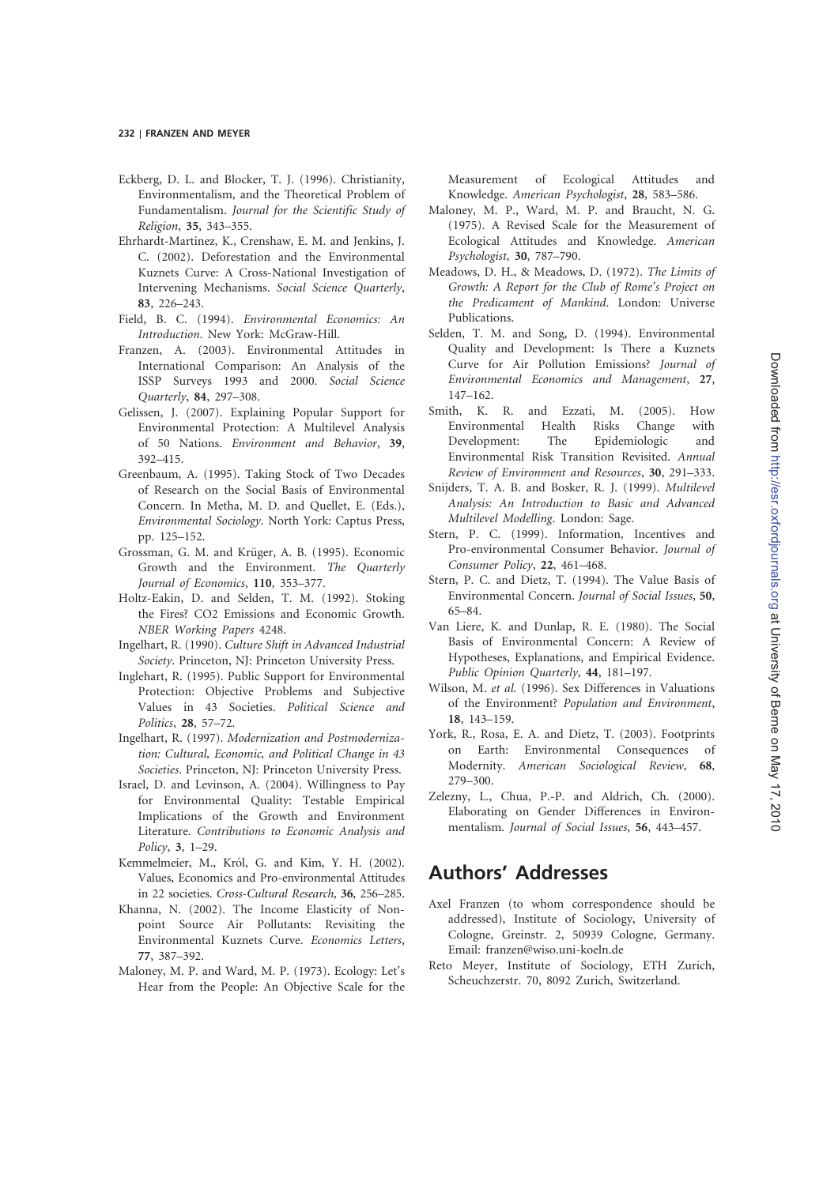- Eckberg, D. L. and Blocker, T. J. (1996). Christianity, Environmentalism, and the Theoretical Problem of Fundamentalism. *Journal for the Scientific Study of Religion*, 35, 343–355.
- Ehrhardt-Martinez, K., Crenshaw, E. M. and Jenkins, J. C. (2002). Deforestation and the Environmental Kuznets Curve: A Cross-National Investigation of Intervening Mechanisms. *Social Science Quarterly*, 83, 226–243.
- Field, B. C. (1994). *Environmental Economics: An Introduction*. New York: McGraw-Hill.
- Franzen, A. (2003). Environmental Attitudes in International Comparison: An Analysis of the ISSP Surveys 1993 and 2000. *Social Science Quarterly*, 84, 297–308.
- Gelissen, J. (2007). Explaining Popular Support for Environmental Protection: A Multilevel Analysis of 50 Nations. *Environment and Behavior*, 39, 392–415.
- Greenbaum, A. (1995). Taking Stock of Two Decades of Research on the Social Basis of Environmental Concern. In Metha, M. D. and Quellet, E. (Eds.), *Environmental Sociology*. North York: Captus Press, pp. 125–152.
- Grossman, G. M. and Krüger, A. B. (1995). Economic Growth and the Environment. *The Quarterly Journal of Economics*, 110, 353–377.
- Holtz-Eakin, D. and Selden, T. M. (1992). Stoking the Fires? CO2 Emissions and Economic Growth. *NBER Working Papers* 4248.
- Ingelhart, R. (1990). *Culture Shift in Advanced Industrial Society*. Princeton, NJ: Princeton University Press.
- Inglehart, R. (1995). Public Support for Environmental Protection: Objective Problems and Subjective Values in 43 Societies. *Political Science and Politics*, 28, 57–72.
- Ingelhart, R. (1997). *Modernization and Postmodernization: Cultural, Economic, and Political Change in 43 Societies*. Princeton, NJ: Princeton University Press.
- Israel, D. and Levinson, A. (2004). Willingness to Pay for Environmental Quality: Testable Empirical Implications of the Growth and Environment Literature. *Contributions to Economic Analysis and Policy*, 3, 1–29.
- Kemmelmeier, M., Król, G. and Kim, Y. H. (2002). Values, Economics and Pro-environmental Attitudes in 22 societies. *Cross-Cultural Research*, 36, 256–285.
- Khanna, N. (2002). The Income Elasticity of Nonpoint Source Air Pollutants: Revisiting the Environmental Kuznets Curve. *Economics Letters*, 77, 387–392.
- Maloney, M. P. and Ward, M. P. (1973). Ecology: Let's Hear from the People: An Objective Scale for the

Measurement of Ecological Attitudes and Knowledge. *American Psychologist*, 28, 583–586.

- Maloney, M. P., Ward, M. P. and Braucht, N. G. (1975). A Revised Scale for the Measurement of Ecological Attitudes and Knowledge. *American Psychologist*, 30, 787–790.
- Meadows, D. H., & Meadows, D. (1972). *The Limits of Growth: A Report for the Club of Rome's Project on the Predicament of Mankind*. London: Universe Publications.
- Selden, T. M. and Song, D. (1994). Environmental Quality and Development: Is There a Kuznets Curve for Air Pollution Emissions? *Journal of Environmental Economics and Management*, 27, 147–162.
- Smith, K. R. and Ezzati, M. (2005). How Environmental Health Risks Change with Development: The Epidemiologic and Environmental Risk Transition Revisited. *Annual Review of Environment and Resources*, 30, 291–333.
- Snijders, T. A. B. and Bosker, R. J. (1999). *Multilevel Analysis: An Introduction to Basic and Advanced Multilevel Modelling*. London: Sage.
- Stern, P. C. (1999). Information, Incentives and Pro-environmental Consumer Behavior. *Journal of Consumer Policy*, 22, 461–468.
- Stern, P. C. and Dietz, T. (1994). The Value Basis of Environmental Concern. *Journal of Social Issues*, 50, 65–84.
- Van Liere, K. and Dunlap, R. E. (1980). The Social Basis of Environmental Concern: A Review of Hypotheses, Explanations, and Empirical Evidence. *Public Opinion Quarterly*, 44, 181–197.
- Wilson, M. *et al.* (1996). Sex Differences in Valuations of the Environment? *Population and Environment*, 18, 143–159.
- York, R., Rosa, E. A. and Dietz, T. (2003). Footprints on Earth: Environmental Consequences of Modernity. *American Sociological Review*, 68, 279–300.
- Zelezny, L., Chua, P.-P. and Aldrich, Ch. (2000). Elaborating on Gender Differences in Environmentalism. *Journal of Social Issues*, 56, 443–457.

### Authors' Addresses

- Axel Franzen (to whom correspondence should be addressed), Institute of Sociology, University of Cologne, Greinstr. 2, 50939 Cologne, Germany. Email: franzen@wiso.uni-koeln.de
- Reto Meyer, Institute of Sociology, ETH Zurich, Scheuchzerstr. 70, 8092 Zurich, Switzerland.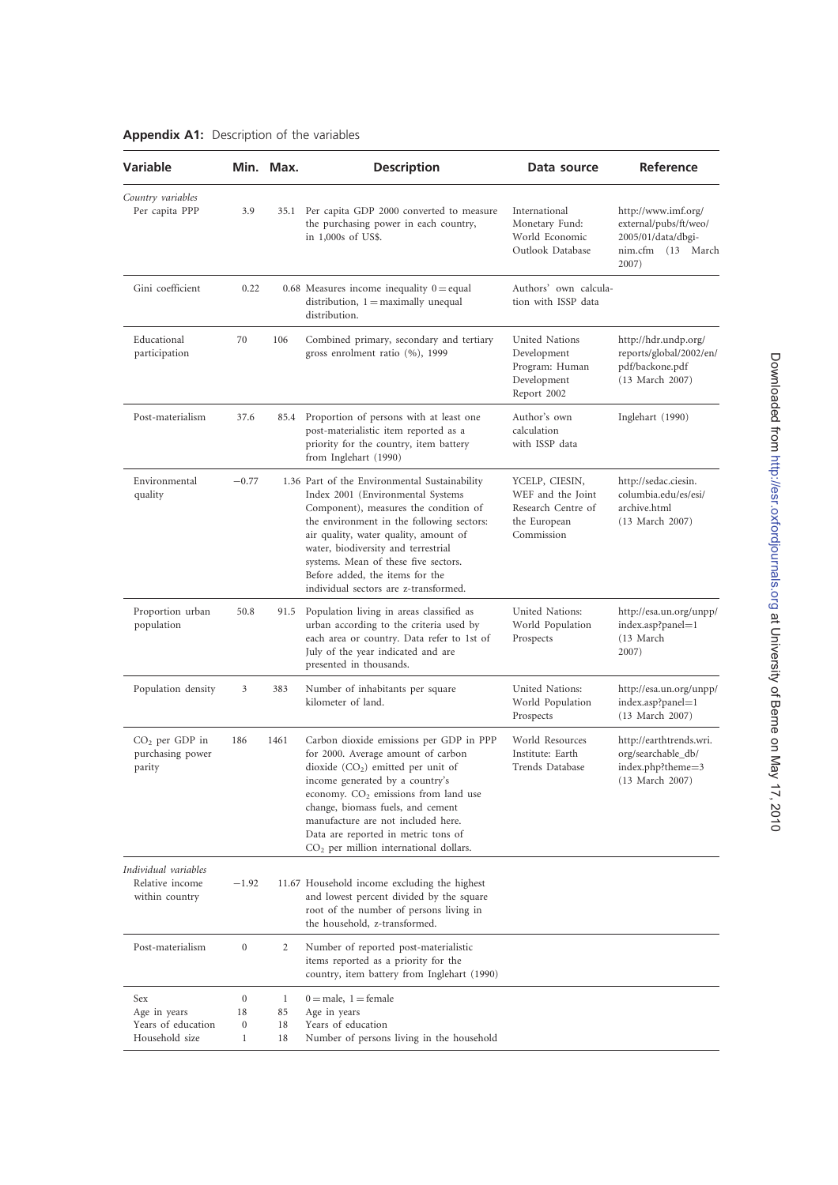| Variable                                                    |                                                            | Min. Max.                      | <b>Description</b>                                                                                                                                                                                                                                                                                                                                                           | Data source                                                                             | Reference                                                                                        |
|-------------------------------------------------------------|------------------------------------------------------------|--------------------------------|------------------------------------------------------------------------------------------------------------------------------------------------------------------------------------------------------------------------------------------------------------------------------------------------------------------------------------------------------------------------------|-----------------------------------------------------------------------------------------|--------------------------------------------------------------------------------------------------|
| Country variables<br>Per capita PPP                         | 3.9                                                        | 35.1                           | Per capita GDP 2000 converted to measure<br>the purchasing power in each country,<br>in 1,000s of US\$.                                                                                                                                                                                                                                                                      | International<br>Monetary Fund:<br>World Economic<br>Outlook Database                   | http://www.imf.org/<br>external/pubs/ft/weo/<br>2005/01/data/dbgi-<br>nim.cfm (13 March<br>2007) |
| Gini coefficient                                            | 0.22                                                       |                                | 0.68 Measures income inequality $0 =$ equal<br>distribution, 1 = maximally unequal<br>distribution.                                                                                                                                                                                                                                                                          | Authors' own calcula-<br>tion with ISSP data                                            |                                                                                                  |
| Educational<br>participation                                | 70                                                         | 106                            | Combined primary, secondary and tertiary<br>gross enrolment ratio (%), 1999                                                                                                                                                                                                                                                                                                  | United Nations<br>Development<br>Program: Human<br>Development<br>Report 2002           | http://hdr.undp.org/<br>reports/global/2002/en/<br>pdf/backone.pdf<br>(13 March 2007)            |
| Post-materialism                                            | 37.6                                                       |                                | 85.4 Proportion of persons with at least one<br>post-materialistic item reported as a<br>priority for the country, item battery<br>from Inglehart (1990)                                                                                                                                                                                                                     | Author's own<br>calculation<br>with ISSP data                                           | Inglehart (1990)                                                                                 |
| Environmental<br>quality                                    | $-0.77$                                                    |                                | 1.36 Part of the Environmental Sustainability<br>Index 2001 (Environmental Systems<br>Component), measures the condition of<br>the environment in the following sectors:<br>air quality, water quality, amount of<br>water, biodiversity and terrestrial<br>systems. Mean of these five sectors.<br>Before added, the items for the<br>individual sectors are z-transformed. | YCELP, CIESIN,<br>WEF and the Joint<br>Research Centre of<br>the European<br>Commission | http://sedac.ciesin.<br>columbia.edu/es/esi/<br>archive.html<br>(13 March 2007)                  |
| Proportion urban<br>population                              | 50.8                                                       |                                | 91.5 Population living in areas classified as<br>urban according to the criteria used by<br>each area or country. Data refer to 1st of<br>July of the year indicated and are<br>presented in thousands.                                                                                                                                                                      | United Nations:<br>World Population<br>Prospects                                        | http://esa.un.org/unpp/<br>index.asp?panel=1<br>(13 March)<br>2007)                              |
| Population density                                          | 3                                                          | 383                            | Number of inhabitants per square<br>kilometer of land.                                                                                                                                                                                                                                                                                                                       | United Nations:<br>World Population<br>Prospects                                        | http://esa.un.org/unpp/<br>index.asp?panel=1<br>(13 March 2007)                                  |
| $CO2$ per GDP in<br>purchasing power<br>parity              | 186                                                        | 1461                           | Carbon dioxide emissions per GDP in PPP<br>for 2000. Average amount of carbon<br>dioxide $(CO2)$ emitted per unit of<br>income generated by a country's<br>economy. $CO2$ emissions from land use<br>change, biomass fuels, and cement<br>manufacture are not included here.<br>Data are reported in metric tons of<br>$CO2$ per million international dollars.              | World Resources<br>Institute: Earth<br>Trends Database                                  | http://earthtrends.wri.<br>org/searchable_db/<br>index.php?theme=3<br>$(13 \text{ March } 2007)$ |
| Individual variables<br>Relative income<br>within country   | $-1.92$                                                    |                                | 11.67 Household income excluding the highest<br>and lowest percent divided by the square<br>root of the number of persons living in<br>the household, z-transformed.                                                                                                                                                                                                         |                                                                                         |                                                                                                  |
| Post-materialism                                            | $\boldsymbol{0}$                                           | 2                              | Number of reported post-materialistic<br>items reported as a priority for the<br>country, item battery from Inglehart (1990)                                                                                                                                                                                                                                                 |                                                                                         |                                                                                                  |
| Sex<br>Age in years<br>Years of education<br>Household size | $\boldsymbol{0}$<br>18<br>$\boldsymbol{0}$<br>$\mathbf{1}$ | $\mathbf{1}$<br>85<br>18<br>18 | $0$ = male, 1 = female<br>Age in years<br>Years of education<br>Number of persons living in the household                                                                                                                                                                                                                                                                    |                                                                                         |                                                                                                  |

### Appendix A1: Description of the variables